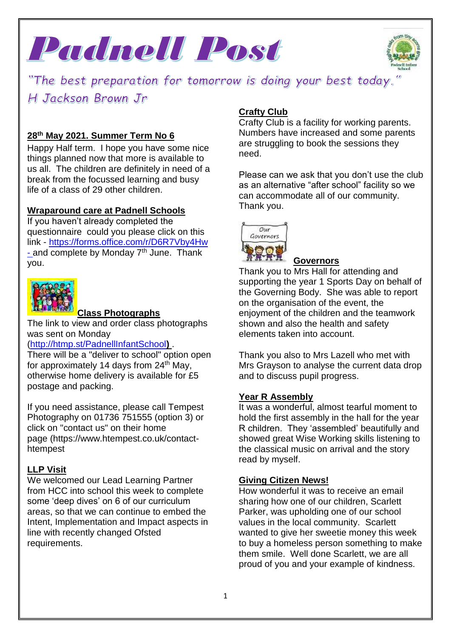



"The best preparation for tomorrow is doing your best today. H Jackson Brown Jr

## **28 th May 2021. Summer Term No 6**

Happy Half term. I hope you have some nice things planned now that more is available to us all. The children are definitely in need of a break from the focussed learning and busy life of a class of 29 other children.

#### **Wraparound care at Padnell Schools**

If you haven't already completed the questionnaire could you please click on this link - <https://forms.office.com/r/D6R7Vby4Hw> - and complete by Monday 7<sup>th</sup> June. Thank you.



#### **Class Photographs**

The link to view and order class photographs was sent on Monday

#### [\(http://htmp.st/PadnellInfantSchool](http://htmp.st/PadnellInfantSchool)**)** .

There will be a "deliver to school" option open for approximately 14 days from  $24<sup>th</sup>$  May, otherwise home delivery is available for £5 postage and packing.

If you need assistance, please call Tempest Photography on 01736 751555 (option 3) or click on "contact us" on their home page (https://www.htempest.co.uk/contacthtempest

## **LLP Visit**

We welcomed our Lead Learning Partner from HCC into school this week to complete some 'deep dives' on 6 of our curriculum areas, so that we can continue to embed the Intent, Implementation and Impact aspects in line with recently changed Ofsted requirements.

## **Crafty Club**

Crafty Club is a facility for working parents. Numbers have increased and some parents are struggling to book the sessions they need.

Please can we ask that you don't use the club as an alternative "after school" facility so we can accommodate all of our community. Thank you.



#### **Governors**

Thank you to Mrs Hall for attending and supporting the year 1 Sports Day on behalf of the Governing Body. She was able to report on the organisation of the event, the enjoyment of the children and the teamwork shown and also the health and safety elements taken into account.

Thank you also to Mrs Lazell who met with Mrs Grayson to analyse the current data drop and to discuss pupil progress.

#### **Year R Assembly**

It was a wonderful, almost tearful moment to hold the first assembly in the hall for the year R children. They 'assembled' beautifully and showed great Wise Working skills listening to the classical music on arrival and the story read by myself.

#### **Giving Citizen News!**

How wonderful it was to receive an email sharing how one of our children, Scarlett Parker, was upholding one of our school values in the local community. Scarlett wanted to give her sweetie money this week to buy a homeless person something to make them smile. Well done Scarlett, we are all proud of you and your example of kindness.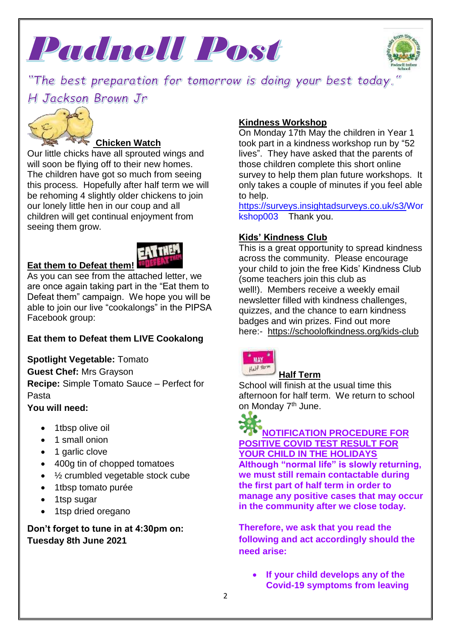



"The best preparation for tomorrow is doing your best today. H Jackson Brown Jr



## **Chicken Watch**

Our little chicks have all sprouted wings and will soon be flying off to their new homes. The children have got so much from seeing this process. Hopefully after half term we will be rehoming 4 slightly older chickens to join our lonely little hen in our coup and all children will get continual enjoyment from seeing them grow.



## **Eat them to Defeat them!**

As you can see from the attached letter, we are once again taking part in the "Eat them to Defeat them" campaign. We hope you will be able to join our live "cookalongs" in the PIPSA Facebook group:

## **Eat them to Defeat them LIVE Cookalong**

**Spotlight Vegetable:** Tomato

**Guest Chef:** Mrs Grayson **Recipe:** Simple Tomato Sauce – Perfect for Pasta

## **You will need:**

- 1tbsp olive oil
- 1 small onion
- 1 garlic clove
- 400g tin of chopped tomatoes
- $\frac{1}{2}$  crumbled vegetable stock cube
- 1tbsp tomato purée
- 1tsp sugar
- 1tsp dried oregano

## **Don't forget to tune in at 4:30pm on: Tuesday 8th June 2021**

## **Kindness Workshop**

On Monday 17th May the children in Year 1 took part in a kindness workshop run by "52 lives". They have asked that the parents of those children complete this short online survey to help them plan future workshops. It only takes a couple of minutes if you feel able to help.

[https://surveys.insightadsurveys.co.uk/s3/Wor](https://surveys.insightadsurveys.co.uk/s3/Workshop003) [kshop003](https://surveys.insightadsurveys.co.uk/s3/Workshop003) Thank you.

## **Kids' Kindness Club**

This is a great opportunity to spread kindness across the community. Please encourage your child to join the free Kids' Kindness Club (some teachers join this club as well!). Members receive a weekly email newsletter filled with kindness challenges, quizzes, and the chance to earn kindness badges and win prizes. Find out more here:- <https://schoolofkindness.org/kids-club>



## **Half Term**

School will finish at the usual time this afternoon for half term. We return to school on Monday 7<sup>th</sup> June.



#### **NOTIFICATION PROCEDURE FOR POSITIVE COVID TEST RESULT FOR YOUR CHILD IN THE HOLIDAYS Although "normal life" is slowly returning, we must still remain contactable during the first part of half term in order to manage any positive cases that may occur in the community after we close today.**

**Therefore, we ask that you read the following and act accordingly should the need arise:**

 **If your child develops any of the Covid-19 symptoms from leaving**